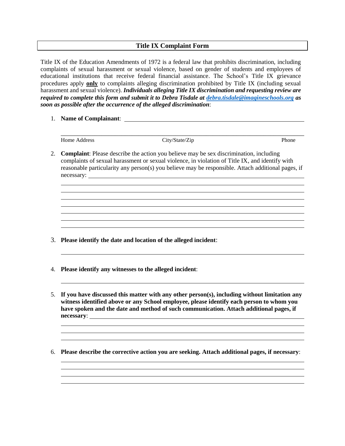## **Title IX Complaint Form**

Title IX of the Education Amendments of 1972 is a federal law that prohibits discrimination, including complaints of sexual harassment or sexual violence, based on gender of students and employees of educational institutions that receive federal financial assistance. The School's Title IX grievance procedures apply **only** to complaints alleging discrimination prohibited by Title IX (including sexual harassment and sexual violence). *Individuals alleging Title IX discrimination and requesting review are required to complete this form and submit it to Debra Tisdale at [debra.tisdale@imagineschools.org](mailto:debra.tisdale@imagineschools.org) as soon as possible after the occurrence of the alleged discrimination*:

1. **Name of Complainant**:

Home Address City/State/Zip Phone

\_\_\_\_\_\_\_\_\_\_\_\_\_\_\_\_\_\_\_\_\_\_\_\_\_\_\_\_\_\_\_\_\_\_\_\_\_\_\_\_\_\_\_\_\_\_\_\_\_\_\_\_\_\_\_\_\_\_\_\_\_\_\_\_\_\_\_\_\_\_\_\_

l

2. **Complaint**: Please describe the action you believe may be sex discrimination, including complaints of sexual harassment or sexual violence, in violation of Title IX, and identify with reasonable particularity any person(s) you believe may be responsible. Attach additional pages, if necessary:

- 3. **Please identify the date and location of the alleged incident**:
- 4. **Please identify any witnesses to the alleged incident**:
- 5. **If you have discussed this matter with any other person(s), including without limitation any witness identified above or any School employee, please identify each person to whom you have spoken and the date and method of such communication. Attach additional pages, if necessary**:
- 6. **Please describe the corrective action you are seeking. Attach additional pages, if necessary**: